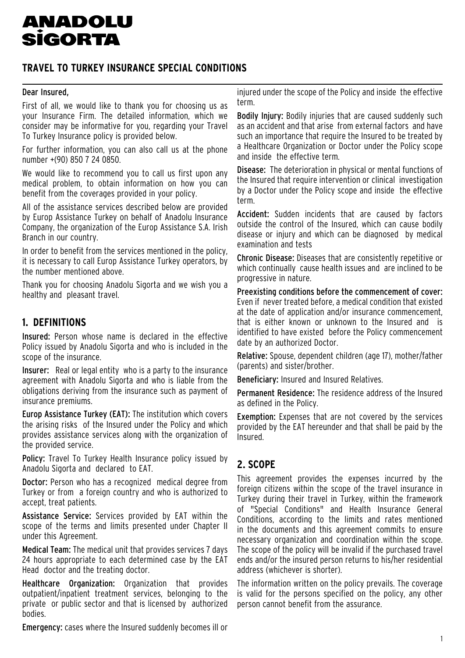# **ANADOLU SÍGORTA**

## **TRAVEL TO TURKEY INSURANCE SPECIAL CONDITIONS**

#### Dear Insured,

First of all, we would like to thank you for choosing us as your Insurance Firm. The detailed information, which we consider may be informative for you, regarding your Travel To Turkey Insurance policy is provided below.

For further information, you can also call us at the phone number +(90) 850 7 24 0850.

We would like to recommend you to call us first upon any medical problem, to obtain information on how you can benefit from the coverages provided in your policy.

All of the assistance services described below are provided by Europ Assistance Turkey on behalf of Anadolu Insurance Company, the organization of the Europ Assistance S.A. Irish Branch in our country.

In order to benefit from the services mentioned in the policy, it is necessary to call Europ Assistance Turkey operators, by the number mentioned above.

Thank you for choosing Anadolu Sigorta and we wish you a healthy and pleasant travel.

## **1. DEFINITIONS**

Insured: Person whose name is declared in the effective Policy issued by Anadolu Sigorta and who is included in the scope of the insurance.

Insurer: Real or legal entity who is a party to the insurance agreement with Anadolu Sigorta and who is liable from the obligations deriving from the insurance such as payment of insurance premiums.

Europ Assistance Turkey (EAT): The institution which covers the arising risks of the Insured under the Policy and which provides assistance services along with the organization of the provided service.

Policy: Travel To Turkey Health Insurance policy issued by Anadolu Sigorta and declared to EAT.

Doctor: Person who has a recognized medical degree from Turkey or from a foreign country and who is authorized to accept, treat patients.

Assistance Service: Services provided by EAT within the scope of the terms and limits presented under Chapter II under this Agreement.

Medical Team: The medical unit that provides services 7 days 24 hours appropriate to each determined case by the EAT Head doctor and the treating doctor.

Healthcare Organization: Organization that provides outpatient/inpatient treatment services, belonging to the private or public sector and that is licensed by authorized bodies.

Emergency: cases where the Insured suddenly becomes ill or

injured under the scope of the Policy and inside the effective term.

Bodily Injury: Bodily injuries that are caused suddenly such as an accident and that arise from external factors and have such an importance that require the Insured to be treated by a Healthcare Organization or Doctor under the Policy scope and inside the effective term.

Disease: The deterioration in physical or mental functions of the Insured that require intervention or clinical investigation by a Doctor under the Policy scope and inside the effective term.

Accident: Sudden incidents that are caused by factors outside the control of the Insured, which can cause bodily disease or injury and which can be diagnosed by medical examination and tests

Chronic Disease: Diseases that are consistently repetitive or which continually cause health issues and are inclined to be progressive in nature.

Preexisting conditions before the commencement of cover: Even if never treated before, a medical condition that existed at the date of application and/or insurance commencement, that is either known or unknown to the Insured and is identified to have existed before the Policy commencement date by an authorized Doctor.

Relative: Spouse, dependent children (age 17), mother/father (parents) and sister/brother.

Beneficiary: Insured and Insured Relatives.

Permanent Residence: The residence address of the Insured as defined in the Policy.

Exemption: Expenses that are not covered by the services provided by the EAT hereunder and that shall be paid by the Insured.

## **2. SCOPE**

This agreement provides the expenses incurred by the foreign citizens within the scope of the travel insurance in Turkey during their travel in Turkey, within the framework of "Special Conditions" and Health Insurance General Conditions, according to the limits and rates mentioned in the documents and this agreement commits to ensure necessary organization and coordination within the scope. The scope of the policy will be invalid if the purchased travel ends and/or the insured person returns to his/her residential address (whichever is shorter).

The information written on the policy prevails. The coverage is valid for the persons specified on the policy, any other person cannot benefit from the assurance.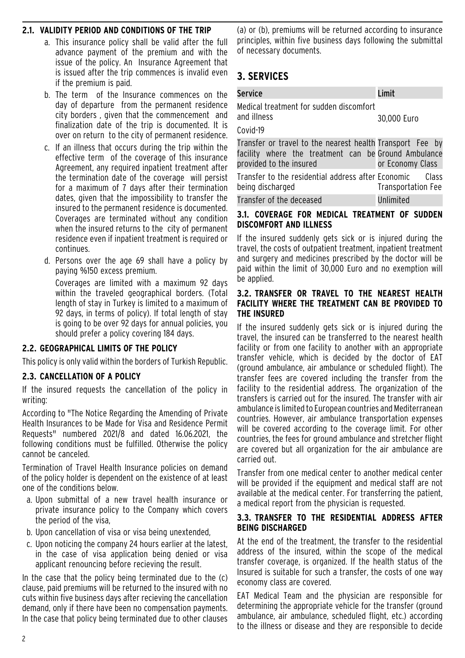#### **2.1. VALIDITY PERIOD AND CONDITIONS OF THE TRIP**

- a. This insurance policy shall be valid after the full advance payment of the premium and with the issue of the policy. An Insurance Agreement that is issued after the trip commences is invalid even if the premium is paid.
- b. The term of the Insurance commences on the day of departure from the permanent residence city borders, given that the commencement and finalization date of the trip is documented. It is over on return to the city of permanent residence.
- c. If an illness that occurs during the trip within the effective term of the coverage of this insurance Agreement, any required inpatient treatment after the termination date of the coverage will persist for a maximum of 7 days after their termination dates, given that the impossibility to transfer the insured to the permanent residence is documented. Coverages are terminated without any condition when the insured returns to the city of permanent residence even if inpatient treatment is required or continues.
- d. Persons over the age 69 shall have a policy by paying %150 excess premium. Coverages are limited with a maximum 92 days within the traveled geographical borders. (Total length of stay in Turkey is limited to a maximum of 92 days, in terms of policy). If total length of stay

is going to be over 92 days for annual policies, you should prefer a policy covering 184 days.

#### **2.2. GEOGRAPHICAL LIMITS OF THE POLICY**

This policy is only valid within the borders of Turkish Republic.

#### **2.3. CANCELLATION OF A POLICY**

If the insured requests the cancellation of the policy in writing:

According to "The Notice Regarding the Amending of Private Health Insurances to be Made for Visa and Residence Permit Requests" numbered 2021/8 and dated 16.06.2021, the following conditions must be fulfilled. Otherwise the policy cannot be canceled.

Termination of Travel Health Insurance policies on demand of the policy holder is dependent on the existence of at least one of the conditions below.

- a. Upon submittal of a new travel health insurance or private insurance policy to the Company which covers the period of the visa,
- b. Upon cancellation of visa or visa being unextended,
- c. Upon noticing the company 24 hours earlier at the latest, in the case of visa application being denied or visa applicant renouncing before recieving the result.

In the case that the policy being terminated due to the (c) clause, paid premiums will be returned to the insured with no cuts within five business days after recieving the cancellation demand, only if there have been no compensation payments. In the case that policy being terminated due to other clauses

(a) or (b), premiums will be returned according to insurance principles, within five business days following the submittal of necessary documents.

## **3. SERVICES**

| ٥                                                                      | <b>Service</b>                                                                                                                               | Limit                                            |
|------------------------------------------------------------------------|----------------------------------------------------------------------------------------------------------------------------------------------|--------------------------------------------------|
| e<br>$\mathsf{I}$<br>$\frac{1}{2}$<br>l.<br>e<br>e<br>r<br>t<br>ገ<br>e | Medical treatment for sudden discomfort<br>and illness<br>Covid-19                                                                           | 30,000 Euro                                      |
|                                                                        | Transfer or travel to the nearest health Transport Fee by<br>facility where the treatment can be Ground Ambulance<br>provided to the insured | or Economy Class                                 |
|                                                                        | Transfer to the residential address after Economic<br>being discharged<br>Transfer of the deceased                                           | -Class<br><b>Transportation Fee</b><br>Unlimited |

#### **3.1. COVERAGE FOR MEDICAL TREATMENT OF SUDDEN DISCOMFORT AND ILLNESS**

If the insured suddenly gets sick or is injured during the travel, the costs of outpatient treatment, inpatient treatment and surgery and medicines prescribed by the doctor will be paid within the limit of 30,000 Euro and no exemption will be applied.

#### **3.2. TRANSFER OR TRAVEL TO THE NEAREST HEALTH FACILITY WHERE THE TREATMENT CAN BE PROVIDED TO THE INSURED**

If the insured suddenly gets sick or is injured during the travel, the insured can be transferred to the nearest health facility or from one facility to another with an appropriate transfer vehicle, which is decided by the doctor of EAT (ground ambulance, air ambulance or scheduled flight). The transfer fees are covered including the transfer from the facility to the residential address. The organization of the transfers is carried out for the insured. The transfer with air ambulance is limited to European countries and Mediterranean countries. However, air ambulance transportation expenses will be covered according to the coverage limit. For other countries, the fees for ground ambulance and stretcher flight are covered but all organization for the air ambulance are carried out.

Transfer from one medical center to another medical center will be provided if the equipment and medical staff are not available at the medical center. For transferring the patient, a medical report from the physician is requested.

#### **3.3. TRANSFER TO THE RESIDENTIAL ADDRESS AFTER BEING DISCHARGED**

At the end of the treatment, the transfer to the residential address of the insured, within the scope of the medical transfer coverage, is organized. If the health status of the Insured is suitable for such a transfer, the costs of one way economy class are covered.

EAT Medical Team and the physician are responsible for determining the appropriate vehicle for the transfer (ground ambulance, air ambulance, scheduled flight, etc.) according to the illness or disease and they are responsible to decide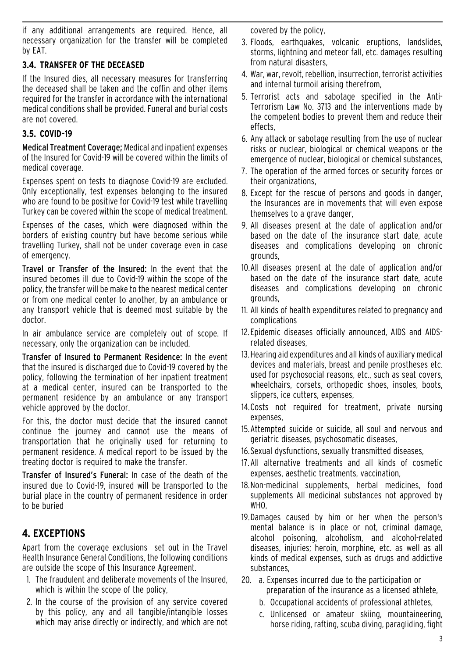if any additional arrangements are required. Hence, all necessary organization for the transfer will be completed by EAT.

#### **3.4. TRANSFER OF THE DECEASED**

If the Insured dies, all necessary measures for transferring the deceased shall be taken and the coffin and other items required for the transfer in accordance with the international medical conditions shall be provided. Funeral and burial costs are not covered.

#### **3.5. COVID-19**

Medical Treatment Coverage; Medical and inpatient expenses of the Insured for Covid-19 will be covered within the limits of medical coverage.

Expenses spent on tests to diagnose Covid-19 are excluded. Only exceptionally, test expenses belonging to the insured who are found to be positive for Covid-19 test while travelling Turkey can be covered within the scope of medical treatment.

Expenses of the cases, which were diagnosed within the borders of existing country but have become serious while travelling Turkey, shall not be under coverage even in case of emergency.

Travel or Transfer of the Insured: In the event that the insured becomes ill due to Covid-19 within the scope of the policy, the transfer will be make to the nearest medical center or from one medical center to another, by an ambulance or any transport vehicle that is deemed most suitable by the doctor.

In air ambulance service are completely out of scope. If necessary, only the organization can be included.

Transfer of Insured to Permanent Residence: In the event that the insured is discharged due to Covid-19 covered by the policy, following the termination of her inpatient treatment at a medical center, insured can be transported to the permanent residence by an ambulance or any transport vehicle approved by the doctor.

For this, the doctor must decide that the insured cannot continue the journey and cannot use the means of transportation that he originally used for returning to permanent residence. A medical report to be issued by the treating doctor is required to make the transfer.

Transfer of Insured's Funeral: In case of the death of the insured due to Covid-19, insured will be transported to the burial place in the country of permanent residence in order to be buried

## **4. EXCEPTIONS**

Apart from the coverage exclusions set out in the Travel Health Insurance General Conditions, the following conditions are outside the scope of this Insurance Agreement.

- 1. The fraudulent and deliberate movements of the Insured, which is within the scope of the policy,
- 2. In the course of the provision of any service covered by this policy, any and all tangible/intangible losses which may arise directly or indirectly, and which are not

covered by the policy,

- 3. Floods, earthquakes, volcanic eruptions, landslides, storms, lightning and meteor fall, etc. damages resulting from natural disasters,
- 4. War, war, revolt, rebellion, insurrection, terrorist activities and internal turmoil arising therefrom,
- 5. Terrorist acts and sabotage specified in the Anti-Terrorism Law No. 3713 and the interventions made by the competent bodies to prevent them and reduce their effects,
- 6. Any attack or sabotage resulting from the use of nuclear risks or nuclear, biological or chemical weapons or the emergence of nuclear, biological or chemical substances,
- 7. The operation of the armed forces or security forces or their organizations,
- 8. Except for the rescue of persons and goods in danger, the Insurances are in movements that will even expose themselves to a grave danger,
- 9. All diseases present at the date of application and/or based on the date of the insurance start date, acute diseases and complications developing on chronic grounds,
- 10.All diseases present at the date of application and/or based on the date of the insurance start date, acute diseases and complications developing on chronic grounds,
- 11. All kinds of health expenditures related to pregnancy and complications
- 12.Epidemic diseases officially announced, AIDS and AIDSrelated diseases,
- 13.Hearing aid expenditures and all kinds of auxiliary medical devices and materials, breast and penile prostheses etc. used for psychosocial reasons, etc., such as seat covers, wheelchairs, corsets, orthopedic shoes, insoles, boots, slippers, ice cutters, expenses,
- 14.Costs not required for treatment, private nursing expenses,
- 15.Attempted suicide or suicide, all soul and nervous and geriatric diseases, psychosomatic diseases,
- 16.Sexual dysfunctions, sexually transmitted diseases,
- 17.All alternative treatments and all kinds of cosmetic expenses, aesthetic treatments, vaccination,
- 18.Non-medicinal supplements, herbal medicines, food supplements All medicinal substances not approved by WHO,
- 19.Damages caused by him or her when the person's mental balance is in place or not, criminal damage, alcohol poisoning, alcoholism, and alcohol-related diseases, injuries; heroin, morphine, etc. as well as all kinds of medical expenses, such as drugs and addictive substances,
- 20. a. Expenses incurred due to the participation or preparation of the insurance as a licensed athlete,
	- b. Occupational accidents of professional athletes,
	- c. Unlicensed or amateur skiing, mountaineering, horse riding, rafting, scuba diving, paragliding, fight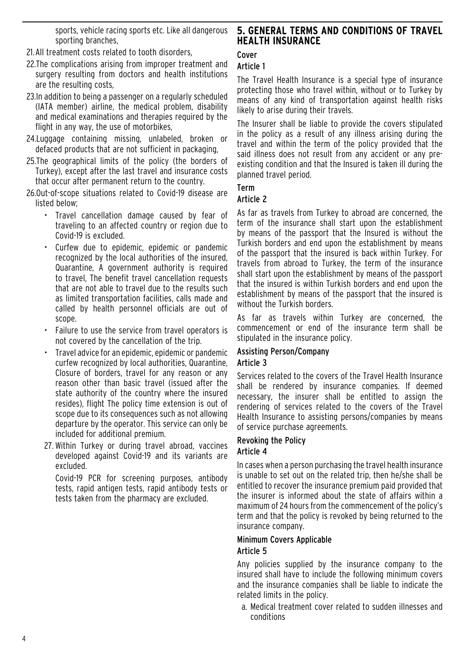sports, vehicle racing sports etc. Like all dangerous sporting branches,

- 21.All treatment costs related to tooth disorders,
- 22.The complications arising from improper treatment and surgery resulting from doctors and health institutions are the resulting costs,
- 23.In addition to being a passenger on a regularly scheduled (IATA member) airline, the medical problem, disability and medical examinations and therapies required by the flight in any way, the use of motorbikes,
- 24.Luggage containing missing, unlabeled, broken or defaced products that are not sufficient in packaging,
- 25.The geographical limits of the policy (the borders of Turkey), except after the last travel and insurance costs that occur after permanent return to the country.
- 26.Out-of-scope situations related to Covid-19 disease are listed below;
	- Travel cancellation damage caused by fear of traveling to an affected country or region due to Covid-19 is excluded.
	- Curfew due to epidemic, epidemic or pandemic recognized by the local authorities of the insured, Quarantine, A government authority is required to travel, The benefit travel cancellation requests that are not able to travel due to the results such as limited transportation facilities, calls made and called by health personnel officials are out of scope.
	- Failure to use the service from travel operators is not covered by the cancellation of the trip.
	- Travel advice for an epidemic, epidemic or pandemic curfew recognized by local authorities, Quarantine, Closure of borders, travel for any reason or any reason other than basic travel (issued after the state authority of the country where the insured resides), flight The policy time extension is out of scope due to its consequences such as not allowing departure by the operator. This service can only be included for additional premium.
	- 27. Within Turkey or during travel abroad, vaccines developed against Covid-19 and its variants are excluded.

Covid-19 PCR for screening purposes, antibody tests, rapid antigen tests, rapid antibody tests or tests taken from the pharmacy are excluded.

#### **5. GENERAL TERMS AND CONDITIONS OF TRAVEL HEALTH INSURANCE**

## Cover

## Article 1

The Travel Health Insurance is a special type of insurance protecting those who travel within, without or to Turkey by means of any kind of transportation against health risks likely to arise during their travels.

The Insurer shall be liable to provide the covers stipulated in the policy as a result of any illness arising during the travel and within the term of the policy provided that the said illness does not result from any accident or any preexisting condition and that the Insured is taken ill during the planned travel period.

#### Term

#### Article 2

As far as travels from Turkey to abroad are concerned, the term of the insurance shall start upon the establishment by means of the passport that the Insured is without the Turkish borders and end upon the establishment by means of the passport that the insured is back within Turkey. For travels from abroad to Turkey, the term of the insurance shall start upon the establishment by means of the passport that the insured is within Turkish borders and end upon the establishment by means of the passport that the insured is without the Turkish borders.

As far as travels within Turkey are concerned, the commencement or end of the insurance term shall be stipulated in the insurance policy.

#### Assisting Person/Company Article 3

Services related to the covers of the Travel Health Insurance shall be rendered by insurance companies. If deemed necessary, the insurer shall be entitled to assign the rendering of services related to the covers of the Travel Health Insurance to assisting persons/companies by means of service purchase agreements.

#### Revoking the Policy Article 4

In cases when a person purchasing the travel health insurance is unable to set out on the related trip, then he/she shall be entitled to recover the insurance premium paid provided that the insurer is informed about the state of affairs within a maximum of 24 hours from the commencement of the policy's term and that the policy is revoked by being returned to the insurance company.

#### Minimum Covers Applicable Article 5

Any policies supplied by the insurance company to the insured shall have to include the following minimum covers and the insurance companies shall be liable to indicate the related limits in the policy.

a. Medical treatment cover related to sudden illnesses and conditions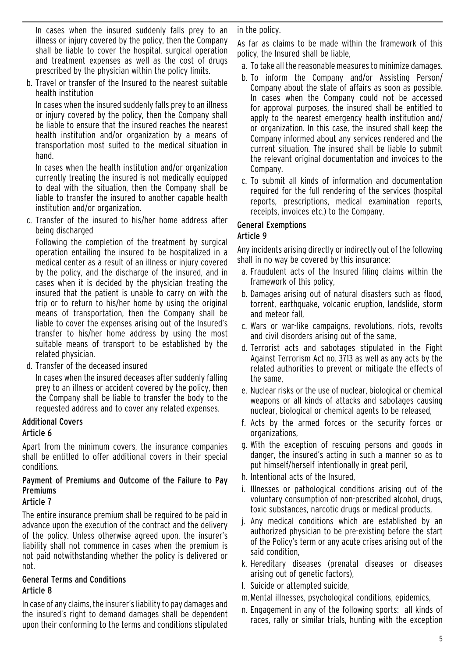In cases when the insured suddenly falls prey to an illness or injury covered by the policy, then the Company shall be liable to cover the hospital, surgical operation and treatment expenses as well as the cost of drugs prescribed by the physician within the policy limits.

b. Travel or transfer of the Insured to the nearest suitable health institution

In cases when the insured suddenly falls prey to an illness or injury covered by the policy, then the Company shall be liable to ensure that the insured reaches the nearest health institution and/or organization by a means of transportation most suited to the medical situation in hand.

In cases when the health institution and/or organization currently treating the insured is not medically equipped to deal with the situation, then the Company shall be liable to transfer the insured to another capable health institution and/or organization.

c. Transfer of the insured to his/her home address after being discharged

Following the completion of the treatment by surgical operation entailing the insured to be hospitalized in a medical center as a result of an illness or injury covered by the policy, and the discharge of the insured, and in cases when it is decided by the physician treating the insured that the patient is unable to carry on with the trip or to return to his/her home by using the original means of transportation, then the Company shall be liable to cover the expenses arising out of the Insured's transfer to his/her home address by using the most suitable means of transport to be established by the related physician.

d. Transfer of the deceased insured

In cases when the insured deceases after suddenly falling prey to an illness or accident covered by the policy, then the Company shall be liable to transfer the body to the requested address and to cover any related expenses.

#### Additional Covers Article 6

Apart from the minimum covers, the insurance companies shall be entitled to offer additional covers in their special conditions.

## Payment of Premiums and Outcome of the Failure to Pay **Premiums**

## Article 7

The entire insurance premium shall be required to be paid in advance upon the execution of the contract and the delivery of the policy. Unless otherwise agreed upon, the insurer's liability shall not commence in cases when the premium is not paid notwithstanding whether the policy is delivered or not.

#### General Terms and Conditions Article 8

In case of any claims, the insurer's liability to pay damages and the insured's right to demand damages shall be dependent upon their conforming to the terms and conditions stipulated in the policy.

As far as claims to be made within the framework of this policy, the Insured shall be liable,

- a. To take all the reasonable measures to minimize damages.
- b. To inform the Company and/or Assisting Person/ Company about the state of affairs as soon as possible. In cases when the Company could not be accessed for approval purposes, the insured shall be entitled to apply to the nearest emergency health institution and/ or organization. In this case, the insured shall keep the Company informed about any services rendered and the current situation. The insured shall be liable to submit the relevant original documentation and invoices to the Company.
- c. To submit all kinds of information and documentation required for the full rendering of the services (hospital reports, prescriptions, medical examination reports, receipts, invoices etc.) to the Company.

### General Exemptions

## Article 9

Any incidents arising directly or indirectly out of the following shall in no way be covered by this insurance:

- a. Fraudulent acts of the Insured filing claims within the framework of this policy,
- b. Damages arising out of natural disasters such as flood, torrent, earthquake, volcanic eruption, landslide, storm and meteor fall,
- c. Wars or war-like campaigns, revolutions, riots, revolts and civil disorders arising out of the same,
- d. Terrorist acts and sabotages stipulated in the Fight Against Terrorism Act no. 3713 as well as any acts by the related authorities to prevent or mitigate the effects of the same,
- e. Nuclear risks or the use of nuclear, biological or chemical weapons or all kinds of attacks and sabotages causing nuclear, biological or chemical agents to be released,
- f. Acts by the armed forces or the security forces or organizations,
- g. With the exception of rescuing persons and goods in danger, the insured's acting in such a manner so as to put himself/herself intentionally in great peril,
- h. Intentional acts of the Insured,
- i. Illnesses or pathological conditions arising out of the voluntary consumption of non-prescribed alcohol, drugs, toxic substances, narcotic drugs or medical products,
- j. Any medical conditions which are established by an authorized physician to be pre-existing before the start of the Policy's term or any acute crises arising out of the said condition,
- k. Hereditary diseases (prenatal diseases or diseases arising out of genetic factors),
- l. Suicide or attempted suicide,
- m.Mental illnesses, psychological conditions, epidemics,
- n. Engagement in any of the following sports: all kinds of races, rally or similar trials, hunting with the exception